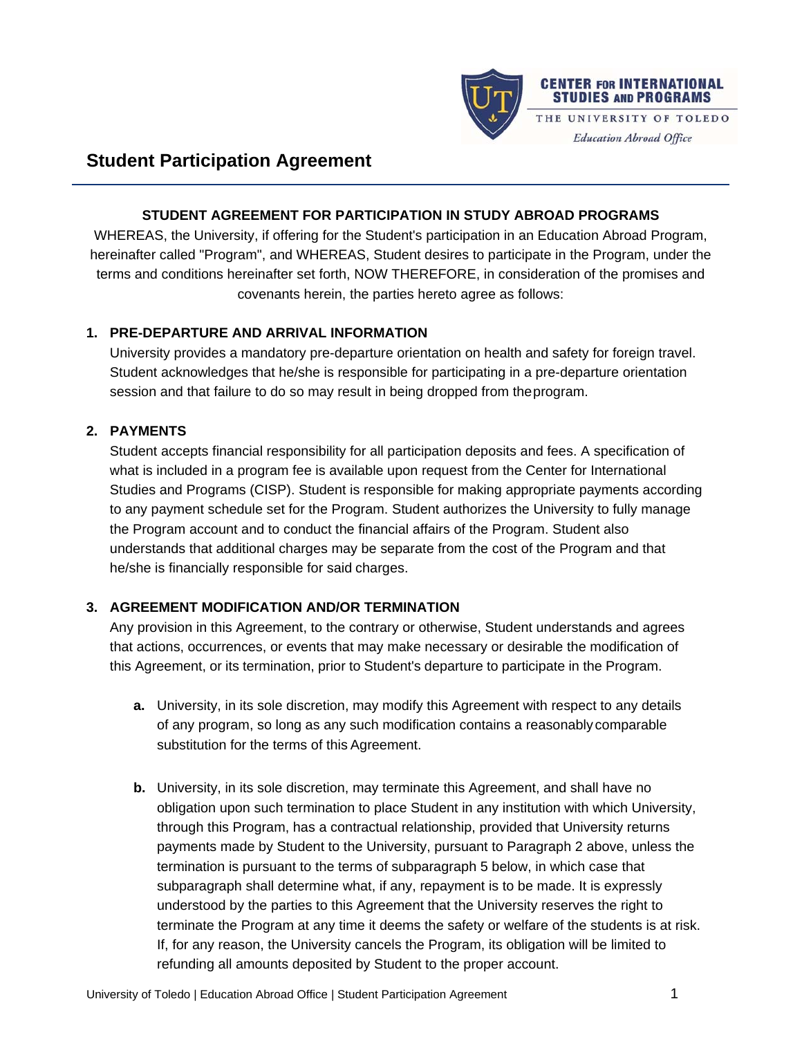

# **Student Participation Agreement**

# **STUDENT AGREEMENT FOR PARTICIPATION IN STUDY ABROAD PROGRAMS**

WHEREAS, the University, if offering for the Student's participation in an Education Abroad Program, hereinafter called "Program", and WHEREAS, Student desires to participate in the Program, under the terms and conditions hereinafter set forth, NOW THEREFORE, in consideration of the promises and covenants herein, the parties hereto agree as follows:

## **1. PRE-DEPARTURE AND ARRIVAL INFORMATION**

University provides a mandatory pre-departure orientation on health and safety for foreign travel. Student acknowledges that he/she is responsible for participating in a pre-departure orientation session and that failure to do so may result in being dropped from the program.

# **2. PAYMENTS**

Student accepts financial responsibility for all participation deposits and fees. A specification of what is included in a program fee is available upon request from the Center for International Studies and Programs (CISP). Student is responsible for making appropriate payments according to any payment schedule set for the Program. Student authorizes the University to fully manage the Program account and to conduct the financial affairs of the Program. Student also understands that additional charges may be separate from the cost of the Program and that he/she is financially responsible for said charges.

# **3. AGREEMENT MODIFICATION AND/OR TERMINATION**

Any provision in this Agreement, to the contrary or otherwise, Student understands and agrees that actions, occurrences, or events that may make necessary or desirable the modification of this Agreement, or its termination, prior to Student's departure to participate in the Program.

- **a.** University, in its sole discretion, may modify this Agreement with respect to any details of any program, so long as any such modification contains a reasonably comparable substitution for the terms of this Agreement.
- **b.** University, in its sole discretion, may terminate this Agreement, and shall have no obligation upon such termination to place Student in any institution with which University, through this Program, has a contractual relationship, provided that University returns payments made by Student to the University, pursuant to Paragraph 2 above, unless the termination is pursuant to the terms of subparagraph 5 below, in which case that subparagraph shall determine what, if any, repayment is to be made. It is expressly understood by the parties to this Agreement that the University reserves the right to terminate the Program at any time it deems the safety or welfare of the students is at risk. If, for any reason, the University cancels the Program, its obligation will be limited to refunding all amounts deposited by Student to the proper account.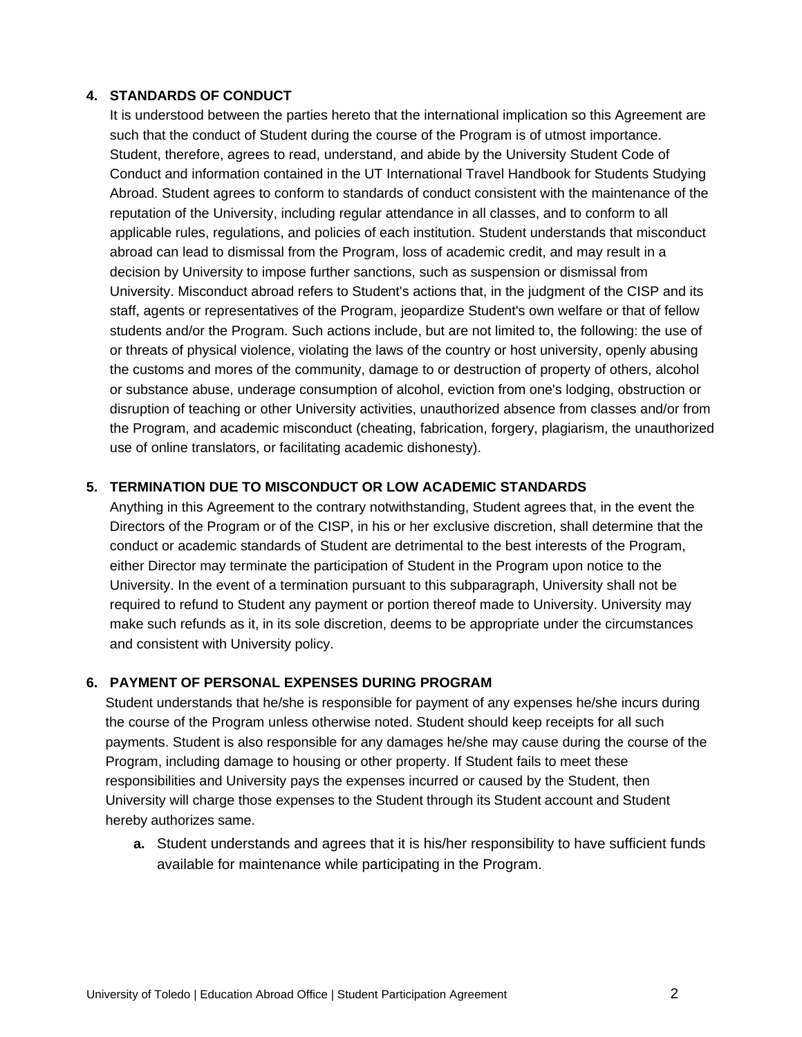#### **4. STANDARDS OF CONDUCT**

It is understood between the parties hereto that the international implication so this Agreement are such that the conduct of Student during the course of the Program is of utmost importance. Student, therefore, agrees to read, understand, and abide by the University Student Code of Conduct and information contained in the UT International Travel Handbook for Students Studying Abroad. Student agrees to conform to standards of conduct consistent with the maintenance of the reputation of the University, including regular attendance in all classes, and to conform to all applicable rules, regulations, and policies of each institution. Student understands that misconduct abroad can lead to dismissal from the Program, loss of academic credit, and may result in a decision by University to impose further sanctions, such as suspension or dismissal from University. Misconduct abroad refers to Student's actions that, in the judgment of the CISP and its staff, agents or representatives of the Program, jeopardize Student's own welfare or that of fellow students and/or the Program. Such actions include, but are not limited to, the following: the use of or threats of physical violence, violating the laws of the country or host university, openly abusing the customs and mores of the community, damage to or destruction of property of others, alcohol or substance abuse, underage consumption of alcohol, eviction from one's lodging, obstruction or disruption of teaching or other University activities, unauthorized absence from classes and/or from the Program, and academic misconduct (cheating, fabrication, forgery, plagiarism, the unauthorized use of online translators, or facilitating academic dishonesty).

## **5. TERMINATION DUE TO MISCONDUCT OR LOW ACADEMIC STANDARDS**

Anything in this Agreement to the contrary notwithstanding, Student agrees that, in the event the Directors of the Program or of the CISP, in his or her exclusive discretion, shall determine that the conduct or academic standards of Student are detrimental to the best interests of the Program, either Director may terminate the participation of Student in the Program upon notice to the University. In the event of a termination pursuant to this subparagraph, University shall not be required to refund to Student any payment or portion thereof made to University. University may make such refunds as it, in its sole discretion, deems to be appropriate under the circumstances and consistent with University policy.

#### **6. PAYMENT OF PERSONAL EXPENSES DURING PROGRAM**

Student understands that he/she is responsible for payment of any expenses he/she incurs during the course of the Program unless otherwise noted. Student should keep receipts for all such payments. Student is also responsible for any damages he/she may cause during the course of the Program, including damage to housing or other property. If Student fails to meet these responsibilities and University pays the expenses incurred or caused by the Student, then University will charge those expenses to the Student through its Student account and Student hereby authorizes same.

**a.** Student understands and agrees that it is his/her responsibility to have sufficient funds available for maintenance while participating in the Program.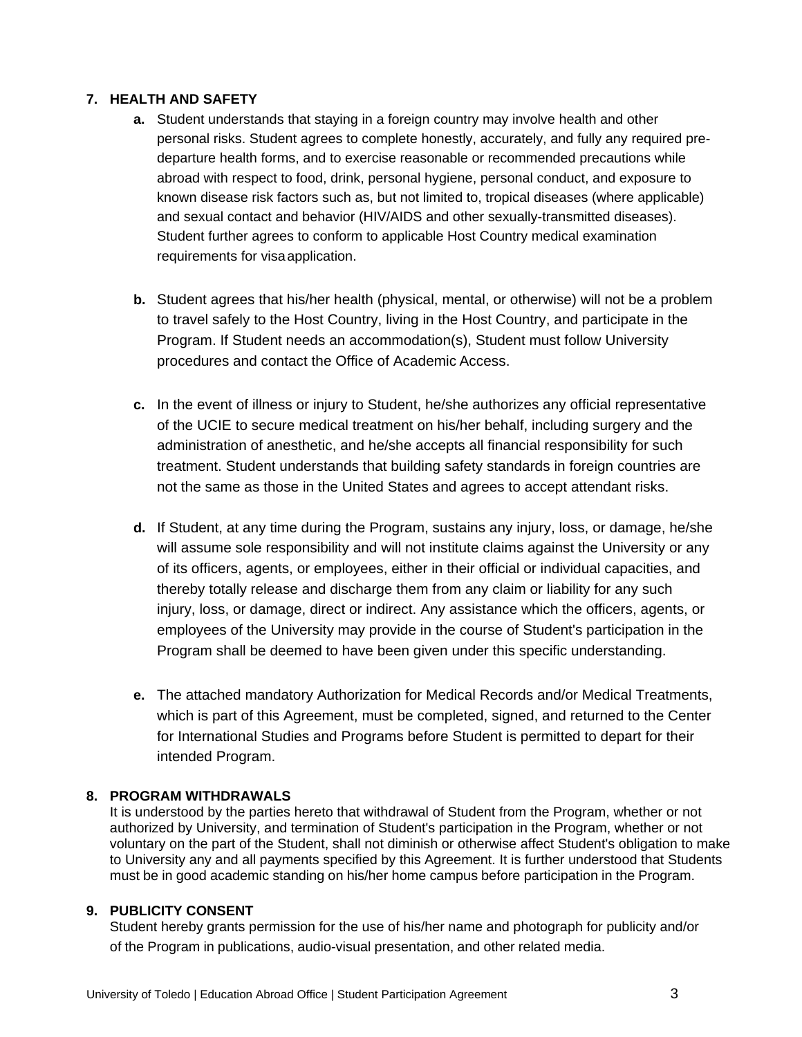#### **7. HEALTH AND SAFETY**

- **a.** Student understands that staying in a foreign country may involve health and other personal risks. Student agrees to complete honestly, accurately, and fully any required predeparture health forms, and to exercise reasonable or recommended precautions while abroad with respect to food, drink, personal hygiene, personal conduct, and exposure to known disease risk factors such as, but not limited to, tropical diseases (where applicable) and sexual contact and behavior (HIV/AIDS and other sexually-transmitted diseases). Student further agrees to conform to applicable Host Country medical examination requirements for visa application.
- **b.** Student agrees that his/her health (physical, mental, or otherwise) will not be a problem to travel safely to the Host Country, living in the Host Country, and participate in the Program. If Student needs an accommodation(s), Student must follow University procedures and contact the Office of Academic Access.
- **c.** In the event of illness or injury to Student, he/she authorizes any official representative of the UCIE to secure medical treatment on his/her behalf, including surgery and the administration of anesthetic, and he/she accepts all financial responsibility for such treatment. Student understands that building safety standards in foreign countries are not the same as those in the United States and agrees to accept attendant risks.
- **d.** If Student, at any time during the Program, sustains any injury, loss, or damage, he/she will assume sole responsibility and will not institute claims against the University or any of its officers, agents, or employees, either in their official or individual capacities, and thereby totally release and discharge them from any claim or liability for any such injury, loss, or damage, direct or indirect. Any assistance which the officers, agents, or employees of the University may provide in the course of Student's participation in the Program shall be deemed to have been given under this specific understanding.
- **e.** The attached mandatory Authorization for Medical Records and/or Medical Treatments, which is part of this Agreement, must be completed, signed, and returned to the Center for International Studies and Programs before Student is permitted to depart for their intended Program.

#### **8. PROGRAM WITHDRAWALS**

It is understood by the parties hereto that withdrawal of Student from the Program, whether or not authorized by University, and termination of Student's participation in the Program, whether or not voluntary on the part of the Student, shall not diminish or otherwise affect Student's obligation to make to University any and all payments specified by this Agreement. It is further understood that Students must be in good academic standing on his/her home campus before participation in the Program.

# **9. PUBLICITY CONSENT**

Student hereby grants permission for the use of his/her name and photograph for publicity and/or of the Program in publications, audio-visual presentation, and other related media.